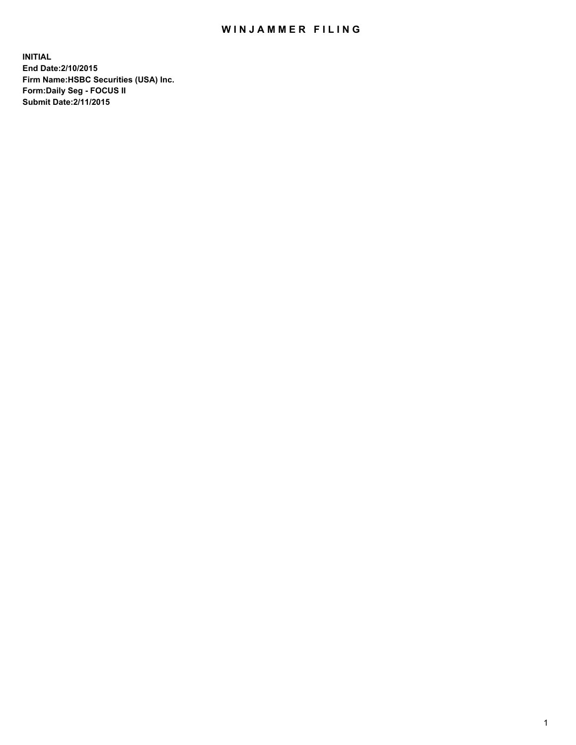## WIN JAMMER FILING

**INITIAL End Date:2/10/2015 Firm Name:HSBC Securities (USA) Inc. Form:Daily Seg - FOCUS II Submit Date:2/11/2015**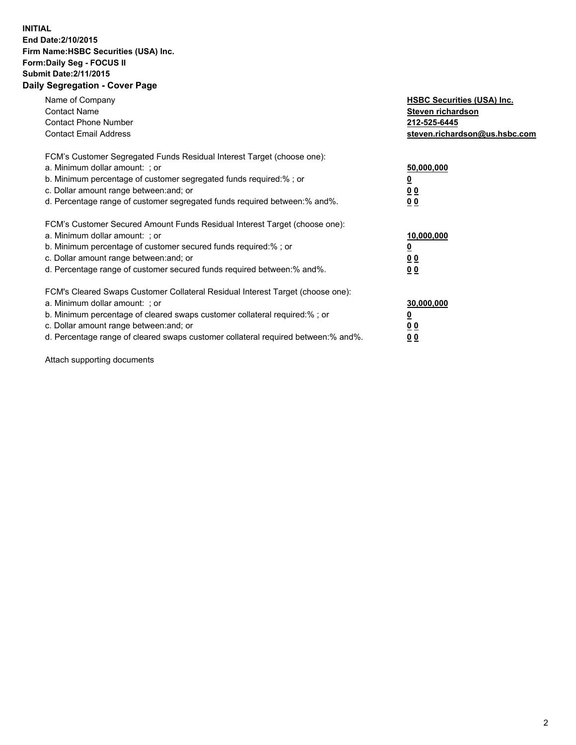## **INITIAL End Date:2/10/2015 Firm Name:HSBC Securities (USA) Inc. Form:Daily Seg - FOCUS II Submit Date:2/11/2015 Daily Segregation - Cover Page**

| Name of Company<br><b>Contact Name</b><br><b>Contact Phone Number</b><br><b>Contact Email Address</b>                                                                                                                                                                                                                          | <b>HSBC Securities (USA) Inc.</b><br>Steven richardson<br>212-525-6445<br>steven.richardson@us.hsbc.com |
|--------------------------------------------------------------------------------------------------------------------------------------------------------------------------------------------------------------------------------------------------------------------------------------------------------------------------------|---------------------------------------------------------------------------------------------------------|
| FCM's Customer Segregated Funds Residual Interest Target (choose one):<br>a. Minimum dollar amount: ; or<br>b. Minimum percentage of customer segregated funds required:%; or<br>c. Dollar amount range between: and; or<br>d. Percentage range of customer segregated funds required between: % and %.                        | 50,000,000<br>0 <sub>0</sub><br>0 <sub>0</sub>                                                          |
| FCM's Customer Secured Amount Funds Residual Interest Target (choose one):<br>a. Minimum dollar amount: ; or<br>b. Minimum percentage of customer secured funds required:%; or<br>c. Dollar amount range between: and; or<br>d. Percentage range of customer secured funds required between:% and%.                            | 10,000,000<br><u>0</u><br>0 <sub>0</sub><br>0 <sub>0</sub>                                              |
| FCM's Cleared Swaps Customer Collateral Residual Interest Target (choose one):<br>a. Minimum dollar amount: ; or<br>b. Minimum percentage of cleared swaps customer collateral required:% ; or<br>c. Dollar amount range between: and; or<br>d. Percentage range of cleared swaps customer collateral required between:% and%. | 30,000,000<br>00<br><u>00</u>                                                                           |

Attach supporting documents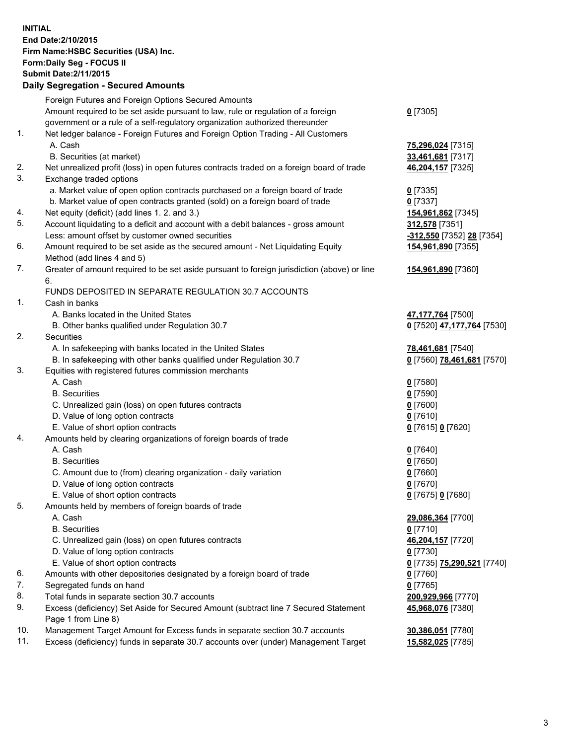**INITIAL End Date:2/10/2015 Firm Name:HSBC Securities (USA) Inc. Form:Daily Seg - FOCUS II Submit Date:2/11/2015 Daily Segregation - Secured Amounts**

|     | Daily Segregation - Secured Amounts                                                         |                            |
|-----|---------------------------------------------------------------------------------------------|----------------------------|
|     | Foreign Futures and Foreign Options Secured Amounts                                         |                            |
|     | Amount required to be set aside pursuant to law, rule or regulation of a foreign            | $0$ [7305]                 |
|     | government or a rule of a self-regulatory organization authorized thereunder                |                            |
| 1.  | Net ledger balance - Foreign Futures and Foreign Option Trading - All Customers             |                            |
|     | A. Cash                                                                                     | 75,296,024 [7315]          |
|     | B. Securities (at market)                                                                   | 33,461,681 [7317]          |
| 2.  | Net unrealized profit (loss) in open futures contracts traded on a foreign board of trade   | 46,204,157 [7325]          |
| 3.  | Exchange traded options                                                                     |                            |
|     | a. Market value of open option contracts purchased on a foreign board of trade              | $0$ [7335]                 |
|     | b. Market value of open contracts granted (sold) on a foreign board of trade                |                            |
| 4.  |                                                                                             | $0$ [7337]                 |
| 5.  | Net equity (deficit) (add lines 1.2. and 3.)                                                | 154,961,862 [7345]         |
|     | Account liquidating to a deficit and account with a debit balances - gross amount           | 312,578 [7351]             |
|     | Less: amount offset by customer owned securities                                            | -312,550 [7352] 28 [7354]  |
| 6.  | Amount required to be set aside as the secured amount - Net Liquidating Equity              | 154,961,890 [7355]         |
|     | Method (add lines 4 and 5)                                                                  |                            |
| 7.  | Greater of amount required to be set aside pursuant to foreign jurisdiction (above) or line | 154,961,890 [7360]         |
|     | 6.                                                                                          |                            |
|     | FUNDS DEPOSITED IN SEPARATE REGULATION 30.7 ACCOUNTS                                        |                            |
| 1.  | Cash in banks                                                                               |                            |
|     | A. Banks located in the United States                                                       | 47,177,764 [7500]          |
|     | B. Other banks qualified under Regulation 30.7                                              | 0 [7520] 47,177,764 [7530] |
| 2.  | Securities                                                                                  |                            |
|     | A. In safekeeping with banks located in the United States                                   | 78,461,681 [7540]          |
|     | B. In safekeeping with other banks qualified under Regulation 30.7                          | 0 [7560] 78,461,681 [7570] |
| 3.  | Equities with registered futures commission merchants                                       |                            |
|     | A. Cash                                                                                     | $0$ [7580]                 |
|     | <b>B.</b> Securities                                                                        | $0$ [7590]                 |
|     | C. Unrealized gain (loss) on open futures contracts                                         | $0$ [7600]                 |
|     | D. Value of long option contracts                                                           | $0$ [7610]                 |
|     | E. Value of short option contracts                                                          | 0 [7615] 0 [7620]          |
| 4.  | Amounts held by clearing organizations of foreign boards of trade                           |                            |
|     | A. Cash                                                                                     | $0$ [7640]                 |
|     | <b>B.</b> Securities                                                                        | $0$ [7650]                 |
|     | C. Amount due to (from) clearing organization - daily variation                             | $0$ [7660]                 |
|     | D. Value of long option contracts                                                           | $0$ [7670]                 |
|     | E. Value of short option contracts                                                          | 0 [7675] 0 [7680]          |
| 5.  | Amounts held by members of foreign boards of trade                                          |                            |
|     | A. Cash                                                                                     | 29,086,364 [7700]          |
|     | <b>B.</b> Securities                                                                        | $0$ [7710]                 |
|     | C. Unrealized gain (loss) on open futures contracts                                         | 46,204,157 [7720]          |
|     | D. Value of long option contracts                                                           | $0$ [7730]                 |
|     | E. Value of short option contracts                                                          | 0 [7735] 75,290,521 [7740] |
| 6.  | Amounts with other depositories designated by a foreign board of trade                      | 0 [7760]                   |
| 7.  | Segregated funds on hand                                                                    | $0$ [7765]                 |
| 8.  | Total funds in separate section 30.7 accounts                                               | 200,929,966 [7770]         |
| 9.  | Excess (deficiency) Set Aside for Secured Amount (subtract line 7 Secured Statement         | 45,968,076 [7380]          |
|     | Page 1 from Line 8)                                                                         |                            |
| 10. | Management Target Amount for Excess funds in separate section 30.7 accounts                 | 30,386,051 [7780]          |
| 11. | Excess (deficiency) funds in separate 30.7 accounts over (under) Management Target          | 15,582,025 [7785]          |
|     |                                                                                             |                            |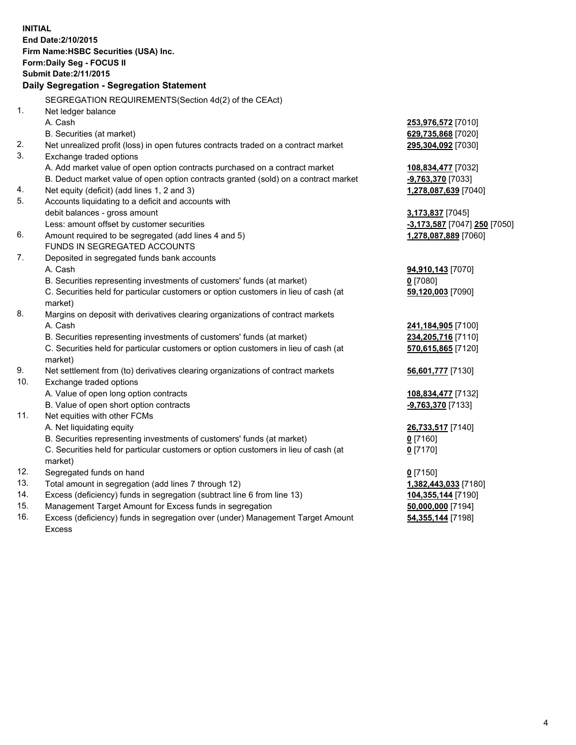| <b>INITIAL</b>                        |                                                                                     |                              |  |  |  |
|---------------------------------------|-------------------------------------------------------------------------------------|------------------------------|--|--|--|
| End Date: 2/10/2015                   |                                                                                     |                              |  |  |  |
| Firm Name: HSBC Securities (USA) Inc. |                                                                                     |                              |  |  |  |
| Form: Daily Seg - FOCUS II            |                                                                                     |                              |  |  |  |
| <b>Submit Date: 2/11/2015</b>         |                                                                                     |                              |  |  |  |
|                                       | Daily Segregation - Segregation Statement                                           |                              |  |  |  |
|                                       | SEGREGATION REQUIREMENTS(Section 4d(2) of the CEAct)                                |                              |  |  |  |
| 1.                                    | Net ledger balance                                                                  |                              |  |  |  |
|                                       | A. Cash                                                                             | 253,976,572 [7010]           |  |  |  |
|                                       | B. Securities (at market)                                                           | 629,735,868 [7020]           |  |  |  |
| 2.                                    | Net unrealized profit (loss) in open futures contracts traded on a contract market  | 295,304,092 [7030]           |  |  |  |
| 3.                                    | Exchange traded options                                                             |                              |  |  |  |
|                                       | A. Add market value of open option contracts purchased on a contract market         | 108,834,477 [7032]           |  |  |  |
|                                       | B. Deduct market value of open option contracts granted (sold) on a contract market | -9,763,370 [7033]            |  |  |  |
| 4.                                    | Net equity (deficit) (add lines 1, 2 and 3)                                         | 1,278,087,639 [7040]         |  |  |  |
| 5.                                    | Accounts liquidating to a deficit and accounts with                                 |                              |  |  |  |
|                                       | debit balances - gross amount                                                       | 3,173,837 [7045]             |  |  |  |
|                                       | Less: amount offset by customer securities                                          | -3,173,587 [7047] 250 [7050] |  |  |  |
| 6.                                    | Amount required to be segregated (add lines 4 and 5)                                | 1,278,087,889 [7060]         |  |  |  |
|                                       | FUNDS IN SEGREGATED ACCOUNTS                                                        |                              |  |  |  |
| 7.                                    | Deposited in segregated funds bank accounts                                         |                              |  |  |  |
|                                       | A. Cash                                                                             | 94,910,143 [7070]            |  |  |  |
|                                       | B. Securities representing investments of customers' funds (at market)              | $0$ [7080]                   |  |  |  |
|                                       | C. Securities held for particular customers or option customers in lieu of cash (at | 59,120,003 [7090]            |  |  |  |
|                                       | market)                                                                             |                              |  |  |  |
| 8.                                    | Margins on deposit with derivatives clearing organizations of contract markets      |                              |  |  |  |
|                                       | A. Cash                                                                             | 241,184,905 [7100]           |  |  |  |
|                                       | B. Securities representing investments of customers' funds (at market)              | 234,205,716 [7110]           |  |  |  |
|                                       | C. Securities held for particular customers or option customers in lieu of cash (at | 570,615,865 [7120]           |  |  |  |
|                                       | market)                                                                             |                              |  |  |  |
| 9.                                    | Net settlement from (to) derivatives clearing organizations of contract markets     | 56,601,777 [7130]            |  |  |  |
| 10.                                   | Exchange traded options                                                             |                              |  |  |  |
|                                       | A. Value of open long option contracts                                              | 108,834,477 [7132]           |  |  |  |
|                                       | B. Value of open short option contracts                                             | -9,763,370 [7133]            |  |  |  |
| 11.                                   | Net equities with other FCMs                                                        |                              |  |  |  |
|                                       | A. Net liquidating equity                                                           | 26,733,517 [7140]            |  |  |  |
|                                       | B. Securities representing investments of customers' funds (at market)              | <u>0</u> [7160]              |  |  |  |
|                                       | C. Securities held for particular customers or option customers in lieu of cash (at | $0$ [7170]                   |  |  |  |
|                                       | market)                                                                             |                              |  |  |  |
| 12.                                   | Segregated funds on hand                                                            | $0$ [7150]                   |  |  |  |
| 13.                                   | Total amount in segregation (add lines 7 through 12)                                | 1,382,443,033 [7180]         |  |  |  |
| 14.                                   | Excess (deficiency) funds in segregation (subtract line 6 from line 13)             | 104,355,144 [7190]           |  |  |  |
| 15.                                   | Management Target Amount for Excess funds in segregation                            | 50,000,000 [7194]            |  |  |  |
| 16.                                   | Excess (deficiency) funds in segregation over (under) Management Target Amount      | 54, 355, 144 [7198]          |  |  |  |

16. Excess (deficiency) funds in segregation over (under) Management Target Amount Excess